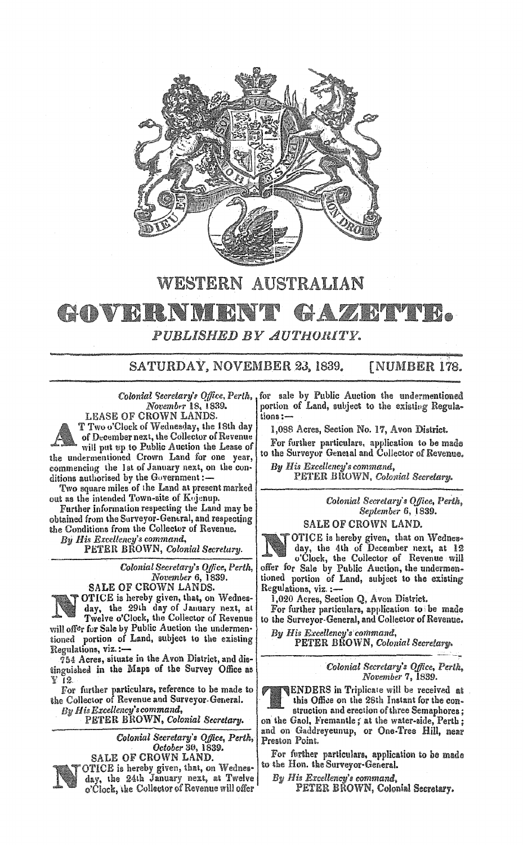

## WESTERN AUSTRALIAN GOVERNMEN GAZETTE. *PUBLISHED BY AUTHORITY.*

SATURDAY, NOVEMBER 23, 1839. **[NUMBER 178.** 

*November* 18, 1839.

LEASE OF CROWN LANDS. T Two o'Clock of Wednesday, the 18th day of December next, the Collector of Revenue will put up to Public Auction the Lease of the undermentioned Crown Land for one year, commencing the 1st of January next, on the conditions authorised by the Government :-

Two square miles of the Land at present marked out as the intended Town-site of Kujenup.

Further information respecting the Land may be obtained from the Surveyor-General, and respecting the Conditions from the Collector of Revenue.

*His Excellency'S command,*  PETER BROWN, Colonial *Secretary.* 

> *Colonial Secretary's Office, Perth, November* 6, 1839. SALE OF CROWN LANDS.



OTICE is hereby given, that, on Wednes-

day, the 29Lh day of January next, at Twelve o'Clock, the Collector of Revenue will offer for Sale by Public Auction the undermentioned portion of Land, subject to the existing Regulations, **viz.:-**

 $754$  Acres, situate in the Avon District, and distinguished in the Maps of the Survey Office as Y 12.

For further particulars, reference to be made to the Collector of Revenue and Surveyor General. *By His Excellency's command,* 

PETER BROWN, Colonial Secretary.

*Colonial Secretary's Office, Perth, October* 30, I 83D.

SALE OF CROWN LAND.



Colonial Secretary's Office, Perth. for sale by Public Auction the undermentioned portion of Land, subject to the existing Regula-<br>tions :-

1,088 Acres, Section No. 17, Avon District.

For further particulars. application to be made to the Surveyor Geneual and Collector of Revenue,

*B']J His Excellency's command,*  PETER BROWN, Colonial Secretary.

> *Colonial Seeretary's Ojfice, September* 6,1839.

SALE OF CROWN LAND.

OTICE is hereby given, that on Wednesday, the 4th of December next, at 12 o'Clock, the Collector of Revenue will offer for Sale by Public Auction, the undermentioned portion of Land, subject to the existing Regulations, viz. **:-**

1,020 Acres, Section Q, Avon District.

For further particulars, application to be made to the Surveyor-General, and Collector of Revenue.

By His Excellency's command, PETER BHOWN, Colonial Secretary.

> *Colonial Secretary's Office, Perth, November 7, 1839.*

ENDERS in Triplicate will be received at this Office on the 28th Instant for the construction and erection of three Semaphores;

on the Gaol, Fremantle; at the water-side, Perth; and on Gaddreyeunup, or One-Tree Hill, near Preston Point.

For further particulars, application to be made to the Hon. the Surveyor-General.

By His Excellency's command,<br>
PETER BROWN, Colonial Secretary.